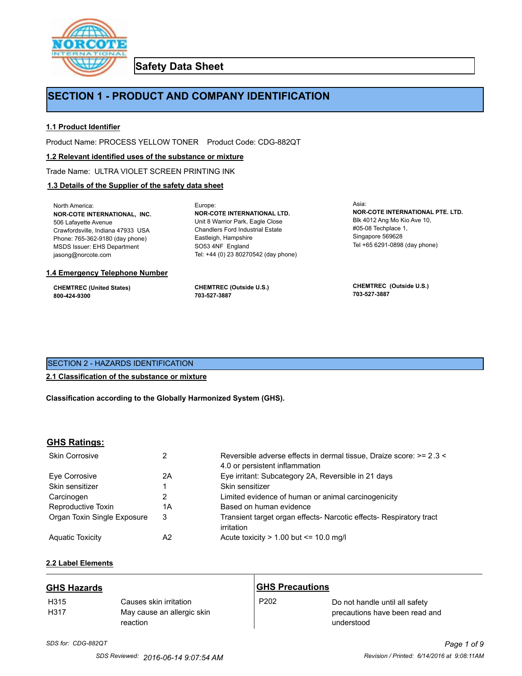

**Safety Data Sheet**

## **SECTION 1 - PRODUCT AND COMPANY IDENTIFICATION**

Europe:

## **1.1 Product Identifier**

Product Name: PROCESS YELLOW TONER Product Code: CDG-882QT

#### **1.2 Relevant identified uses of the substance or mixture**

Trade Name: ULTRA VIOLET SCREEN PRINTING INK

## **1.3 Details of the Supplier of the safety data sheet**

North America: **NOR-COTE INTERNATIONAL, INC.** 506 Lafayette Avenue Crawfordsville, Indiana 47933 USA Phone: 765-362-9180 (day phone) MSDS Issuer: EHS Department jasong@norcote.com

#### **1.4 Emergency Telephone Number**

**CHEMTREC (United States) 800-424-9300**

**CHEMTREC (Outside U.S.) 703-527-3887**

Eastleigh, Hampshire SO53 4NF England

**NOR-COTE INTERNATIONAL LTD.** Unit 8 Warrior Park, Eagle Close Chandlers Ford Industrial Estate

Tel: +44 (0) 23 80270542 (day phone)

Asia: **NOR-COTE INTERNATIONAL PTE. LTD.** Blk 4012 Ang Mo Kio Ave 10, #05-08 Techplace 1, Singapore 569628 Tel +65 6291-0898 (day phone)

**CHEMTREC (Outside U.S.) 703-527-3887**

## SECTION 2 - HAZARDS IDENTIFICATION

#### **2.1 Classification of the substance or mixture**

**Classification according to the Globally Harmonized System (GHS).**

#### **GHS Ratings:**

| <b>Skin Corrosive</b>       | 2  | Reversible adverse effects in dermal tissue, Draize score: >= 2.3 <<br>4.0 or persistent inflammation |
|-----------------------------|----|-------------------------------------------------------------------------------------------------------|
| Eve Corrosive               | 2A | Eye irritant: Subcategory 2A, Reversible in 21 days                                                   |
| Skin sensitizer             |    | Skin sensitizer                                                                                       |
| Carcinogen                  |    | Limited evidence of human or animal carcinogenicity                                                   |
| Reproductive Toxin          | 1A | Based on human evidence                                                                               |
| Organ Toxin Single Exposure | 3  | Transient target organ effects- Narcotic effects- Respiratory tract<br>irritation                     |
| <b>Aguatic Toxicity</b>     | A2 | Acute toxicity $> 1.00$ but $\leq 10.0$ mg/l                                                          |

## **2.2 Label Elements**

| <b>GHS Hazards</b> |                                                                  | <b>GHS Precautions</b> |                                                                                |
|--------------------|------------------------------------------------------------------|------------------------|--------------------------------------------------------------------------------|
| H315<br>H317       | Causes skin irritation<br>May cause an allergic skin<br>reaction | P <sub>202</sub>       | Do not handle until all safety<br>precautions have been read and<br>understood |

# *SDS for: CDG-882QT Page 1 of 9*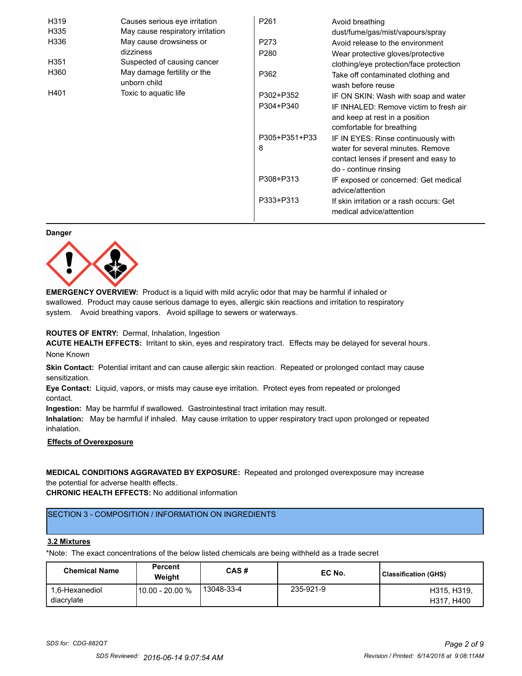| H319             | Causes serious eye irritation               | P261          | Avoid breathing                                                                                       |
|------------------|---------------------------------------------|---------------|-------------------------------------------------------------------------------------------------------|
| H335             | May cause respiratory irritation            |               | dust/fume/gas/mist/vapours/spray                                                                      |
| H336             | May cause drowsiness or                     | P273          | Avoid release to the environment                                                                      |
|                  | dizziness                                   | P280          | Wear protective gloves/protective                                                                     |
| H <sub>351</sub> | Suspected of causing cancer                 |               | clothing/eye protection/face protection                                                               |
| H360             | May damage fertility or the<br>unborn child | P362          | Take off contaminated clothing and<br>wash before reuse                                               |
| H401             | Toxic to aquatic life                       | P302+P352     | IF ON SKIN: Wash with soap and water                                                                  |
|                  |                                             | P304+P340     | IF INHALED: Remove victim to fresh air<br>and keep at rest in a position<br>comfortable for breathing |
|                  |                                             | P305+P351+P33 | IF IN EYES: Rinse continuously with                                                                   |
|                  |                                             | 8             | water for several minutes. Remove<br>contact lenses if present and easy to<br>do - continue rinsing   |
|                  |                                             | P308+P313     | IF exposed or concerned: Get medical<br>advice/attention                                              |
|                  |                                             | P333+P313     | If skin irritation or a rash occurs: Get<br>medical advice/attention                                  |

#### **Danger**



**EMERGENCY OVERVIEW:** Product is a liquid with mild acrylic odor that may be harmful if inhaled or swallowed. Product may cause serious damage to eyes, allergic skin reactions and irritation to respiratory system. Avoid breathing vapors. Avoid spillage to sewers or waterways.

#### **ROUTES OF ENTRY:** Dermal, Inhalation, Ingestion

**ACUTE HEALTH EFFECTS:** Irritant to skin, eyes and respiratory tract. Effects may be delayed for several hours. None Known

**Skin Contact:** Potential irritant and can cause allergic skin reaction. Repeated or prolonged contact may cause sensitization.

**Eye Contact:** Liquid, vapors, or mists may cause eye irritation. Protect eyes from repeated or prolonged contact.

**Ingestion:** May be harmful if swallowed. Gastrointestinal tract irritation may result.

**Inhalation:** May be harmful if inhaled. May cause irritation to upper respiratory tract upon prolonged or repeated inhalation.

## **Effects of Overexposure**

## **MEDICAL CONDITIONS AGGRAVATED BY EXPOSURE:** Repeated and prolonged overexposure may increase the potential for adverse health effects.

**CHRONIC HEALTH EFFECTS:** No additional information

## SECTION 3 - COMPOSITION / INFORMATION ON INGREDIENTS

#### **3.2 Mixtures**

\*Note: The exact concentrations of the below listed chemicals are being withheld as a trade secret

| <b>Chemical Name</b>         | <b>Percent</b><br>Weiaht | CAS#       | EC No.    | Classification (GHS)      |
|------------------------------|--------------------------|------------|-----------|---------------------------|
| 1.6-Hexanediol<br>diacrylate | 10.00 - 20.00 %          | 13048-33-4 | 235-921-9 | H315, H319.<br>H317, H400 |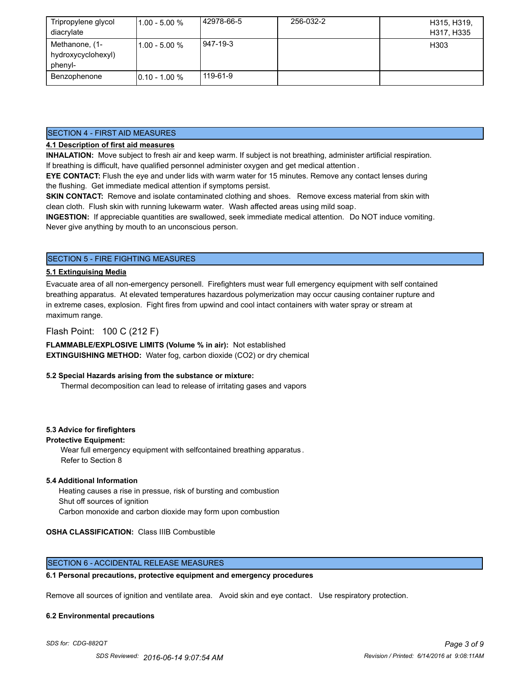| Tripropylene glycol<br>diacrylate               | $11.00 - 5.00 %$ | 42978-66-5 | 256-032-2 | H315, H319,<br>H317, H335 |
|-------------------------------------------------|------------------|------------|-----------|---------------------------|
| Methanone, (1-<br>hydroxycyclohexyl)<br>phenyl- | $11.00 - 5.00 %$ | 947-19-3   |           | H303                      |
| Benzophenone                                    | $10.10 - 1.00 %$ | 119-61-9   |           |                           |

#### SECTION 4 - FIRST AID MEASURES

## **4.1 Description of first aid measures**

**INHALATION:** Move subject to fresh air and keep warm. If subject is not breathing, administer artificial respiration. If breathing is difficult, have qualified personnel administer oxygen and get medical attention .

**EYE CONTACT:** Flush the eye and under lids with warm water for 15 minutes. Remove any contact lenses during the flushing. Get immediate medical attention if symptoms persist.

**SKIN CONTACT:** Remove and isolate contaminated clothing and shoes. Remove excess material from skin with clean cloth. Flush skin with running lukewarm water. Wash affected areas using mild soap.

**INGESTION:** If appreciable quantities are swallowed, seek immediate medical attention. Do NOT induce vomiting. Never give anything by mouth to an unconscious person.

## SECTION 5 - FIRE FIGHTING MEASURES

#### **5.1 Extinguising Media**

Evacuate area of all non-emergency personell. Firefighters must wear full emergency equipment with self contained breathing apparatus. At elevated temperatures hazardous polymerization may occur causing container rupture and in extreme cases, explosion. Fight fires from upwind and cool intact containers with water spray or stream at maximum range.

## Flash Point: 100 C (212 F)

**FLAMMABLE/EXPLOSIVE LIMITS (Volume % in air):** Not established **EXTINGUISHING METHOD:** Water fog, carbon dioxide (CO2) or dry chemical

#### **5.2 Special Hazards arising from the substance or mixture:**

Thermal decomposition can lead to release of irritating gases and vapors

#### **5.3 Advice for firefighters**

#### **Protective Equipment:**

Wear full emergency equipment with selfcontained breathing apparatus . Refer to Section 8

#### **5.4 Additional Information**

 Heating causes a rise in pressue, risk of bursting and combustion Shut off sources of ignition Carbon monoxide and carbon dioxide may form upon combustion

#### **OSHA CLASSIFICATION:** Class IIIB Combustible

#### SECTION 6 - ACCIDENTAL RELEASE MEASURES

#### **6.1 Personal precautions, protective equipment and emergency procedures**

Remove all sources of ignition and ventilate area. Avoid skin and eye contact. Use respiratory protection.

#### **6.2 Environmental precautions**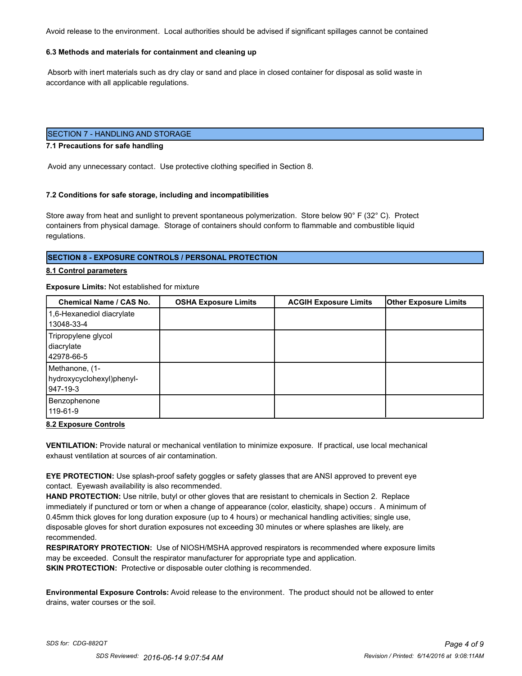Avoid release to the environment. Local authorities should be advised if significant spillages cannot be contained

#### **6.3 Methods and materials for containment and cleaning up**

 Absorb with inert materials such as dry clay or sand and place in closed container for disposal as solid waste in accordance with all applicable regulations.

## SECTION 7 - HANDLING AND STORAGE

#### **7.1 Precautions for safe handling**

Avoid any unnecessary contact. Use protective clothing specified in Section 8.

#### **7.2 Conditions for safe storage, including and incompatibilities**

Store away from heat and sunlight to prevent spontaneous polymerization. Store below 90° F (32° C). Protect containers from physical damage. Storage of containers should conform to flammable and combustible liquid regulations.

#### **SECTION 8 - EXPOSURE CONTROLS / PERSONAL PROTECTION**

#### **8.1 Control parameters**

#### **Exposure Limits:** Not established for mixture

| Chemical Name / CAS No.   | <b>OSHA Exposure Limits</b> | <b>ACGIH Exposure Limits</b> | <b>Other Exposure Limits</b> |
|---------------------------|-----------------------------|------------------------------|------------------------------|
| 1,6-Hexanediol diacrylate |                             |                              |                              |
| 13048-33-4                |                             |                              |                              |
| Tripropylene glycol       |                             |                              |                              |
| diacrylate                |                             |                              |                              |
| 42978-66-5                |                             |                              |                              |
| Methanone, (1-            |                             |                              |                              |
| hydroxycyclohexyl)phenyl- |                             |                              |                              |
| 947-19-3                  |                             |                              |                              |
| Benzophenone              |                             |                              |                              |
| 119-61-9                  |                             |                              |                              |

#### **8.2 Exposure Controls**

**VENTILATION:** Provide natural or mechanical ventilation to minimize exposure. If practical, use local mechanical exhaust ventilation at sources of air contamination.

**EYE PROTECTION:** Use splash-proof safety goggles or safety glasses that are ANSI approved to prevent eye contact. Eyewash availability is also recommended.

**HAND PROTECTION:** Use nitrile, butyl or other gloves that are resistant to chemicals in Section 2. Replace immediately if punctured or torn or when a change of appearance (color, elasticity, shape) occurs . A minimum of 0.45mm thick gloves for long duration exposure (up to 4 hours) or mechanical handling activities; single use, disposable gloves for short duration exposures not exceeding 30 minutes or where splashes are likely, are recommended.

**RESPIRATORY PROTECTION:** Use of NIOSH/MSHA approved respirators is recommended where exposure limits may be exceeded. Consult the respirator manufacturer for appropriate type and application. **SKIN PROTECTION:** Protective or disposable outer clothing is recommended.

**Environmental Exposure Controls:** Avoid release to the environment. The product should not be allowed to enter drains, water courses or the soil.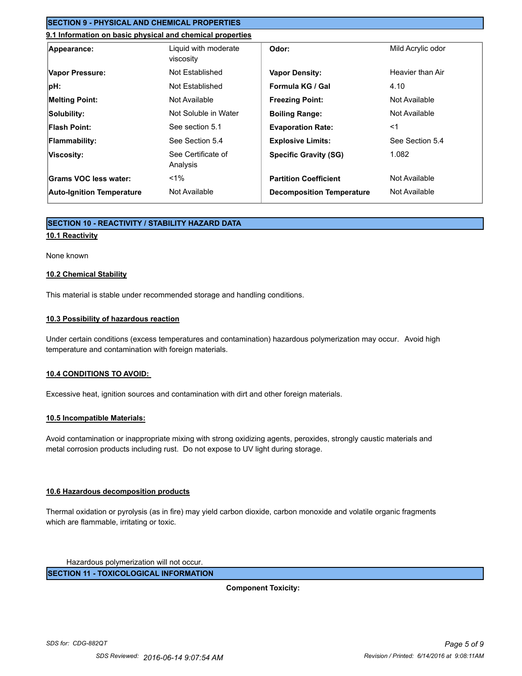## **SECTION 9 - PHYSICAL AND CHEMICAL PROPERTIES**

## **9.1 Information on basic physical and chemical properties**

| Appearance:                      | Liquid with moderate<br>viscosity | Odor:                            | Mild Acrylic odor |
|----------------------------------|-----------------------------------|----------------------------------|-------------------|
| Vapor Pressure:                  | Not Established                   | <b>Vapor Density:</b>            | Heavier than Air  |
| pH:                              | Not Established                   | Formula KG / Gal                 | 4.10              |
| <b>Melting Point:</b>            | Not Available                     | <b>Freezing Point:</b>           | Not Available     |
| Solubility:                      | Not Soluble in Water              | <b>Boiling Range:</b>            | Not Available     |
| Flash Point:                     | See section 5.1                   | <b>Evaporation Rate:</b>         | $<$ 1             |
| <b>Flammability:</b>             | See Section 5.4                   | <b>Explosive Limits:</b>         | See Section 5.4   |
| Viscosity:                       | See Certificate of<br>Analysis    | <b>Specific Gravity (SG)</b>     | 1.082             |
| Grams VOC less water:            | $1\%$                             | <b>Partition Coefficient</b>     | Not Available     |
| <b>Auto-Ignition Temperature</b> | Not Available                     | <b>Decomposition Temperature</b> | Not Available     |

## **SECTION 10 - REACTIVITY / STABILITY HAZARD DATA**

#### **10.1 Reactivity**

#### None known

#### **10.2 Chemical Stability**

This material is stable under recommended storage and handling conditions.

#### **10.3 Possibility of hazardous reaction**

Under certain conditions (excess temperatures and contamination) hazardous polymerization may occur. Avoid high temperature and contamination with foreign materials.

#### **10.4 CONDITIONS TO AVOID:**

Excessive heat, ignition sources and contamination with dirt and other foreign materials.

#### **10.5 Incompatible Materials:**

Avoid contamination or inappropriate mixing with strong oxidizing agents, peroxides, strongly caustic materials and metal corrosion products including rust. Do not expose to UV light during storage.

#### **10.6 Hazardous decomposition products**

Thermal oxidation or pyrolysis (as in fire) may yield carbon dioxide, carbon monoxide and volatile organic fragments which are flammable, irritating or toxic.

Hazardous polymerization will not occur.

**SECTION 11 - TOXICOLOGICAL INFORMATION**

**Component Toxicity:**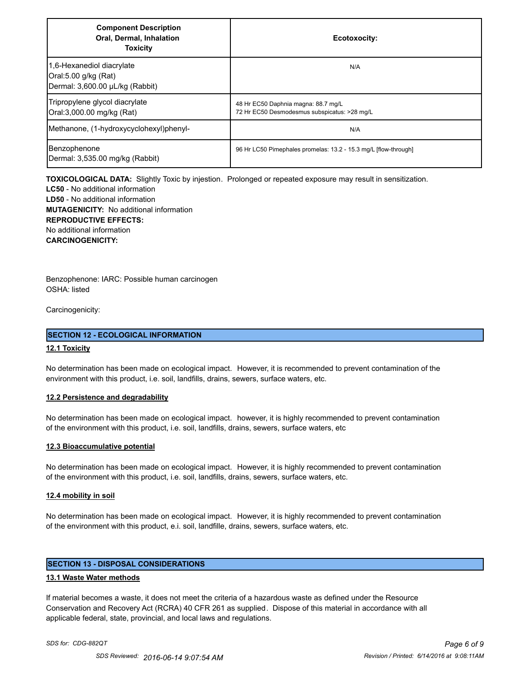| <b>Component Description</b><br>Oral, Dermal, Inhalation<br><b>Toxicity</b>          | Ecotoxocity:                                                                        |
|--------------------------------------------------------------------------------------|-------------------------------------------------------------------------------------|
| 1,6-Hexanediol diacrylate<br>Oral:5.00 g/kg (Rat)<br>Dermal: 3,600.00 µL/kg (Rabbit) | N/A                                                                                 |
| Tripropylene glycol diacrylate<br>Oral:3,000.00 mg/kg (Rat)                          | 48 Hr EC50 Daphnia magna: 88.7 mg/L<br>72 Hr EC50 Desmodesmus subspicatus: >28 mg/L |
| Methanone, (1-hydroxycyclohexyl)phenyl-                                              | N/A                                                                                 |
| Benzophenone<br>Dermal: 3,535.00 mg/kg (Rabbit)                                      | 96 Hr LC50 Pimephales promelas: 13.2 - 15.3 mg/L [flow-through]                     |

**TOXICOLOGICAL DATA:** Slightly Toxic by injestion. Prolonged or repeated exposure may result in sensitization.

**LC50** - No additional information **LD50** - No additional information **MUTAGENICITY:** No additional information **REPRODUCTIVE EFFECTS:** No additional information **CARCINOGENICITY:**

Benzophenone: IARC: Possible human carcinogen OSHA: listed

Carcinogenicity:

#### **SECTION 12 - ECOLOGICAL INFORMATION**

#### **12.1 Toxicity**

No determination has been made on ecological impact. However, it is recommended to prevent contamination of the environment with this product, i.e. soil, landfills, drains, sewers, surface waters, etc.

#### **12.2 Persistence and degradability**

No determination has been made on ecological impact. however, it is highly recommended to prevent contamination of the environment with this product, i.e. soil, landfills, drains, sewers, surface waters, etc

#### **12.3 Bioaccumulative potential**

No determination has been made on ecological impact. However, it is highly recommended to prevent contamination of the environment with this product, i.e. soil, landfills, drains, sewers, surface waters, etc.

#### **12.4 mobility in soil**

No determination has been made on ecological impact. However, it is highly recommended to prevent contamination of the environment with this product, e.i. soil, landfille, drains, sewers, surface waters, etc.

## **SECTION 13 - DISPOSAL CONSIDERATIONS**

#### **13.1 Waste Water methods**

If material becomes a waste, it does not meet the criteria of a hazardous waste as defined under the Resource Conservation and Recovery Act (RCRA) 40 CFR 261 as supplied. Dispose of this material in accordance with all applicable federal, state, provincial, and local laws and regulations.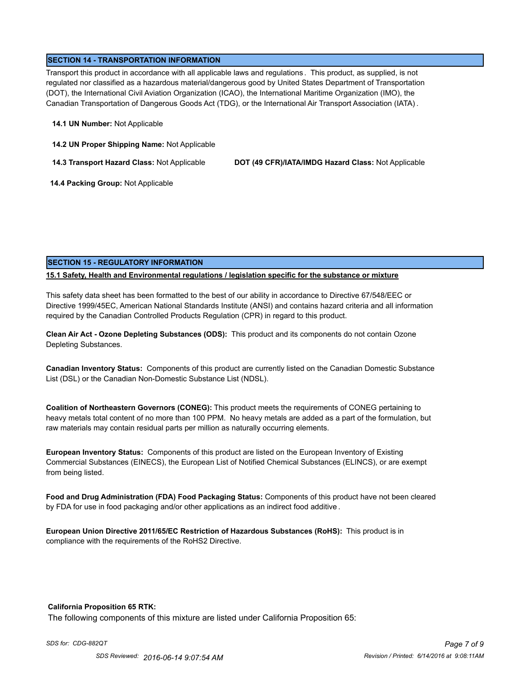## **SECTION 14 - TRANSPORTATION INFORMATION**

Transport this product in accordance with all applicable laws and regulations . This product, as supplied, is not regulated nor classified as a hazardous material/dangerous good by United States Department of Transportation (DOT), the International Civil Aviation Organization (ICAO), the International Maritime Organization (IMO), the Canadian Transportation of Dangerous Goods Act (TDG), or the International Air Transport Association (IATA) .

#### **14.1 UN Number:** Not Applicable

**14.2 UN Proper Shipping Name:** Not Applicable

**14.3 Transport Hazard Class:** Not Applicable **DOT (49 CFR)/IATA/IMDG Hazard Class:** Not Applicable

 **14.4 Packing Group:** Not Applicable

## **SECTION 15 - REGULATORY INFORMATION**

## **15.1 Safety, Health and Environmental regulations / legislation specific for the substance or mixture**

This safety data sheet has been formatted to the best of our ability in accordance to Directive 67/548/EEC or Directive 1999/45EC, American National Standards Institute (ANSI) and contains hazard criteria and all information required by the Canadian Controlled Products Regulation (CPR) in regard to this product.

**Clean Air Act - Ozone Depleting Substances (ODS):** This product and its components do not contain Ozone Depleting Substances.

**Canadian Inventory Status:** Components of this product are currently listed on the Canadian Domestic Substance List (DSL) or the Canadian Non-Domestic Substance List (NDSL).

**Coalition of Northeastern Governors (CONEG):** This product meets the requirements of CONEG pertaining to heavy metals total content of no more than 100 PPM. No heavy metals are added as a part of the formulation, but raw materials may contain residual parts per million as naturally occurring elements.

**European Inventory Status:** Components of this product are listed on the European Inventory of Existing Commercial Substances (EINECS), the European List of Notified Chemical Substances (ELINCS), or are exempt from being listed.

**Food and Drug Administration (FDA) Food Packaging Status:** Components of this product have not been cleared by FDA for use in food packaging and/or other applications as an indirect food additive .

**European Union Directive 2011/65/EC Restriction of Hazardous Substances (RoHS):** This product is in compliance with the requirements of the RoHS2 Directive.

#### **California Proposition 65 RTK:**

The following components of this mixture are listed under California Proposition 65: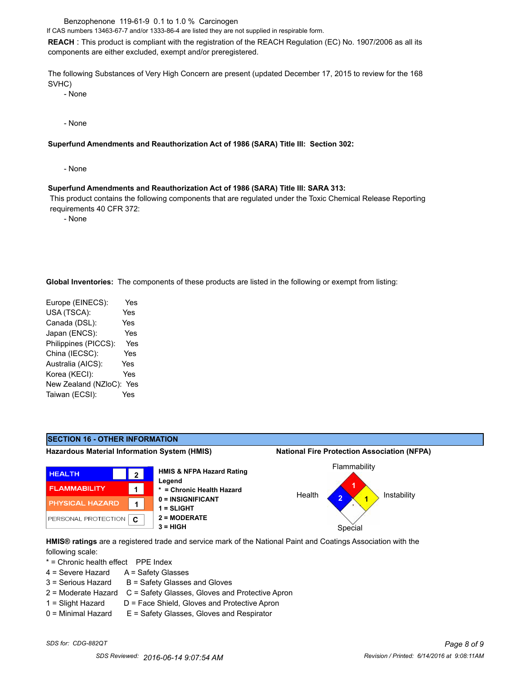Benzophenone 119-61-9 0.1 to 1.0 % Carcinogen

If CAS numbers 13463-67-7 and/or 1333-86-4 are listed they are not supplied in respirable form.

**REACH** : This product is compliant with the registration of the REACH Regulation (EC) No. 1907/2006 as all its components are either excluded, exempt and/or preregistered.

The following Substances of Very High Concern are present (updated December 17, 2015 to review for the 168 SVHC)

- None

- None

#### **Superfund Amendments and Reauthorization Act of 1986 (SARA) Title III: Section 302:**

- None

#### **Superfund Amendments and Reauthorization Act of 1986 (SARA) Title III: SARA 313:**

 This product contains the following components that are regulated under the Toxic Chemical Release Reporting requirements 40 CFR 372:

- None

**Global Inventories:** The components of these products are listed in the following or exempt from listing:

| Europe (EINECS):     | Yes        |
|----------------------|------------|
| USA (TSCA):          | Yes        |
| Canada (DSL):        | <b>Yes</b> |
| Japan (ENCS):        | Yes        |
| Philippines (PICCS): | Yes        |
| China (IECSC):       | Yes        |
| Australia (AICS):    | Yes        |
| Korea (KECI):        | Yes        |
| New Zealand (NZloC): | Yes        |
| Taiwan (ECSI):       | Yes        |
|                      |            |



**HMIS® ratings** are a registered trade and service mark of the National Paint and Coatings Association with the following scale:

\* = Chronic health effect PPE Index

- 4 = Severe Hazard A = Safety Glasses
- $3 =$  Serious Hazard  $B =$  Safety Glasses and Gloves
- 2 = Moderate Hazard C = Safety Glasses, Gloves and Protective Apron
- $1 =$  Slight Hazard  $D =$  Face Shield, Gloves and Protective Apron
- 0 = Minimal Hazard E = Safety Glasses, Gloves and Respirator
-